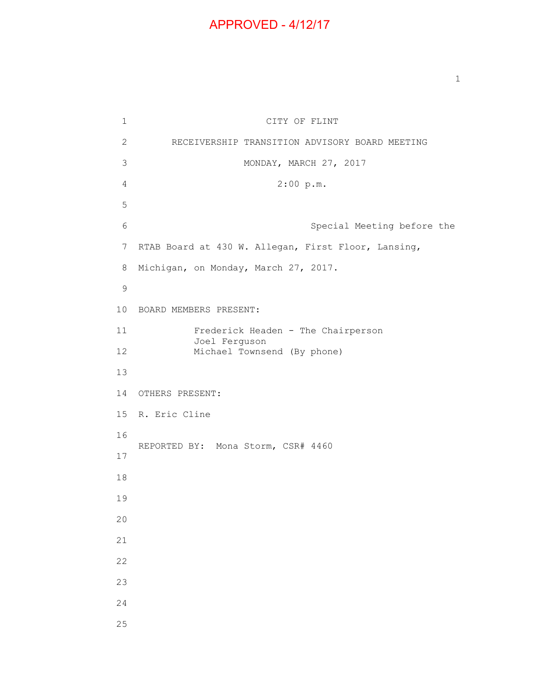## APPROVED - 4/12/17

1 CITY OF FLINT 2 RECEIVERSHIP TRANSITION ADVISORY BOARD MEETING 3 MONDAY, MARCH 27, 2017 4 2:00 p.m. 5 6 Special Meeting before the 7 RTAB Board at 430 W. Allegan, First Floor, Lansing, 8 Michigan, on Monday, March 27, 2017. 9 10 BOARD MEMBERS PRESENT: 11 Frederick Headen - The Chairperson Joel Ferguson 12 Michael Townsend (By phone) 13 14 OTHERS PRESENT: 15 R. Eric Cline 16 REPORTED BY: Mona Storm, CSR# 4460 17 18 19 20 21 22 23 24 25

1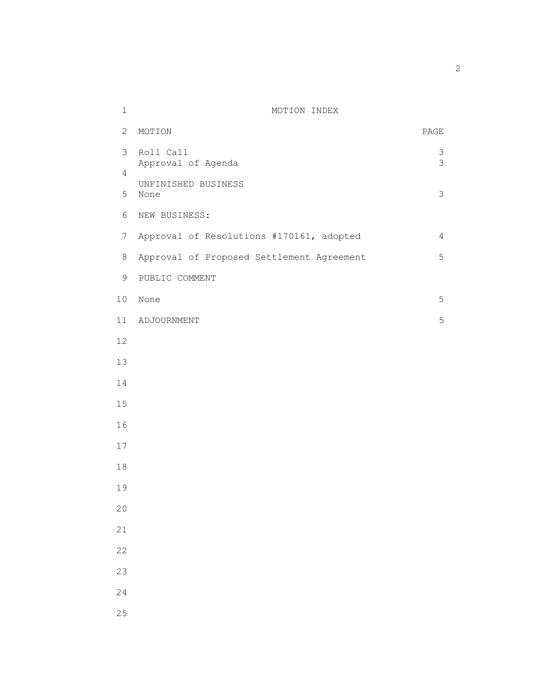## 1 MOTION INDEX

|                | 2 MOTION                                  | PAGE           |
|----------------|-------------------------------------------|----------------|
|                | 3 Roll Call<br>Approval of Agenda         | 3 <sup>3</sup> |
| 4              |                                           |                |
|                | UNFINISHED BUSINESS<br>5 None             | $\mathfrak{Z}$ |
| 6              | NEW BUSINESS:                             |                |
| 7 <sup>7</sup> | Approval of Resolutions #170161, adopted  | $\overline{4}$ |
| 8              | Approval of Proposed Settlement Agreement | 5              |
| 9              | PUBLIC COMMENT                            |                |
|                | 10 None                                   | 5              |
|                | 11 ADJOURNMENT                            | 5              |
| 12             |                                           |                |
| 13             |                                           |                |
| 14             |                                           |                |
| $15\,$         |                                           |                |
| 16             |                                           |                |
| $17$           |                                           |                |
| $18\,$         |                                           |                |
| 19             |                                           |                |
| 20             |                                           |                |
| 21             |                                           |                |
| 22             |                                           |                |
| 23             |                                           |                |
| 24             |                                           |                |
| 25             |                                           |                |

 $\overline{2}$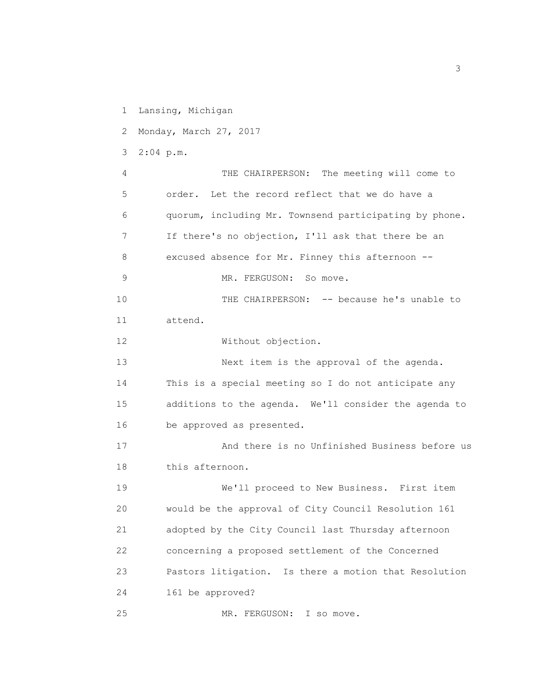1 Lansing, Michigan

2 Monday, March 27, 2017

3 2:04 p.m.

 4 THE CHAIRPERSON: The meeting will come to 5 order. Let the record reflect that we do have a 6 quorum, including Mr. Townsend participating by phone. 7 If there's no objection, I'll ask that there be an 8 excused absence for Mr. Finney this afternoon -- 9 MR. FERGUSON: So move. 10 THE CHAIRPERSON: -- because he's unable to 11 attend. 12 Without objection. 13 Next item is the approval of the agenda. 14 This is a special meeting so I do not anticipate any 15 additions to the agenda. We'll consider the agenda to 16 be approved as presented. 17 And there is no Unfinished Business before us

18 this afternoon.

 19 We'll proceed to New Business. First item 20 would be the approval of City Council Resolution 161 21 adopted by the City Council last Thursday afternoon 22 concerning a proposed settlement of the Concerned 23 Pastors litigation. Is there a motion that Resolution 24 161 be approved?

25 MR. FERGUSON: I so move.

 $\sim$  3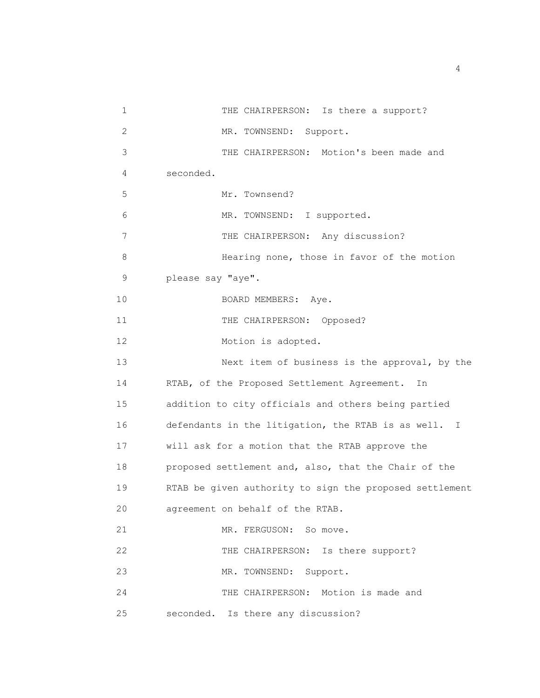1 THE CHAIRPERSON: Is there a support? 2 MR. TOWNSEND: Support. 3 THE CHAIRPERSON: Motion's been made and 4 seconded. 5 Mr. Townsend? 6 MR. TOWNSEND: I supported. 7 THE CHAIRPERSON: Any discussion? 8 Hearing none, those in favor of the motion 9 please say "aye". 10 BOARD MEMBERS: Aye. 11 THE CHAIRPERSON: Opposed? 12 Motion is adopted. 13 Next item of business is the approval, by the 14 RTAB, of the Proposed Settlement Agreement. In 15 addition to city officials and others being partied 16 defendants in the litigation, the RTAB is as well. I 17 will ask for a motion that the RTAB approve the 18 proposed settlement and, also, that the Chair of the 19 RTAB be given authority to sign the proposed settlement 20 agreement on behalf of the RTAB. 21 MR. FERGUSON: So move. 22 THE CHAIRPERSON: Is there support? 23 MR. TOWNSEND: Support. 24 THE CHAIRPERSON: Motion is made and 25 seconded. Is there any discussion?

4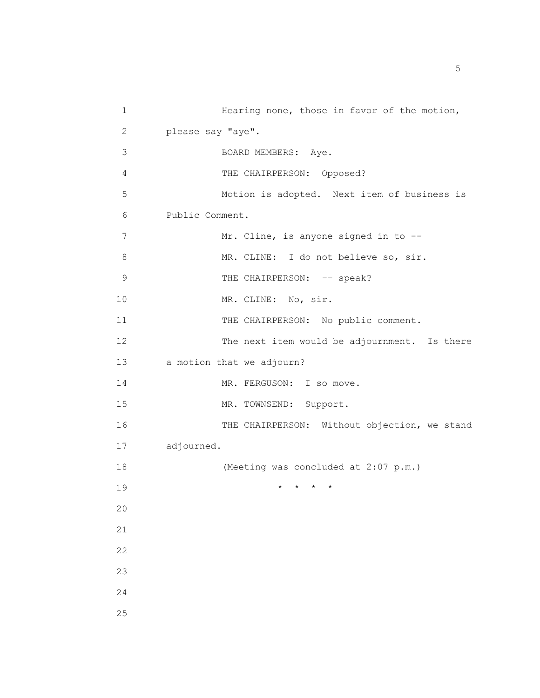| $\mathbf 1$    | Hearing none, those in favor of the motion,  |  |
|----------------|----------------------------------------------|--|
| 2              | please say "aye".                            |  |
| 3              | BOARD MEMBERS: Aye.                          |  |
| 4              | THE CHAIRPERSON: Opposed?                    |  |
| 5              | Motion is adopted. Next item of business is  |  |
| 6              | Public Comment.                              |  |
| $\overline{7}$ | Mr. Cline, is anyone signed in to --         |  |
| 8              | MR. CLINE: I do not believe so, sir.         |  |
| $\mathsf 9$    | THE CHAIRPERSON: -- speak?                   |  |
| 10             | MR. CLINE: No, sir.                          |  |
| 11             | THE CHAIRPERSON: No public comment.          |  |
| 12             | The next item would be adjournment. Is there |  |
| 13             | a motion that we adjourn?                    |  |
| 14             | MR. FERGUSON: I so move.                     |  |
| 15             | MR. TOWNSEND: Support.                       |  |
| 16             | THE CHAIRPERSON: Without objection, we stand |  |
| 17             | adjourned.                                   |  |
| 18             | (Meeting was concluded at 2:07 p.m.)         |  |
| 19             | $\star$                                      |  |
| 20             |                                              |  |
| 21             |                                              |  |
| 22             |                                              |  |
| 23             |                                              |  |
| 24             |                                              |  |
| 25             |                                              |  |